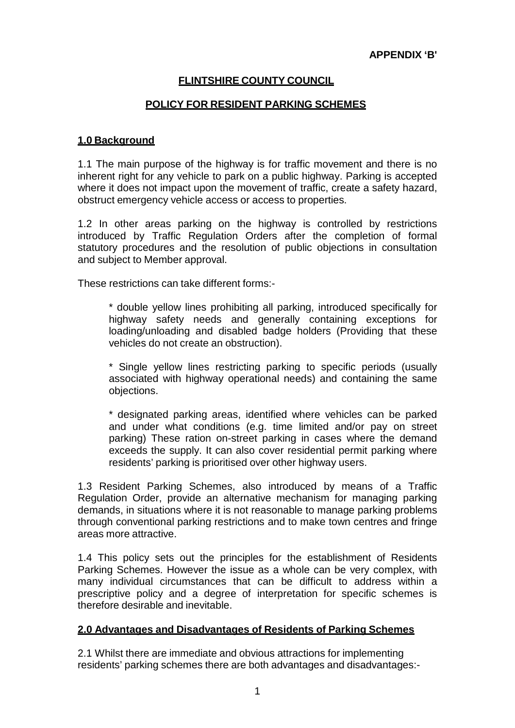# **FLINTSHIRE COUNTY COUNCIL**

## **POLICY FOR RESIDENT PARKING SCHEMES**

## **1.0 Background**

1.1 The main purpose of the highway is for traffic movement and there is no inherent right for any vehicle to park on a public highway. Parking is accepted where it does not impact upon the movement of traffic, create a safety hazard, obstruct emergency vehicle access or access to properties.

1.2 In other areas parking on the highway is controlled by restrictions introduced by Traffic Regulation Orders after the completion of formal statutory procedures and the resolution of public objections in consultation and subject to Member approval.

These restrictions can take different forms:-

\* double yellow lines prohibiting all parking, introduced specifically for highway safety needs and generally containing exceptions for loading/unloading and disabled badge holders (Providing that these vehicles do not create an obstruction).

\* Single yellow lines restricting parking to specific periods (usually associated with highway operational needs) and containing the same objections.

\* designated parking areas, identified where vehicles can be parked and under what conditions (e.g. time limited and/or pay on street parking) These ration on-street parking in cases where the demand exceeds the supply. It can also cover residential permit parking where residents' parking is prioritised over other highway users.

1.3 Resident Parking Schemes, also introduced by means of a Traffic Regulation Order, provide an alternative mechanism for managing parking demands, in situations where it is not reasonable to manage parking problems through conventional parking restrictions and to make town centres and fringe areas more attractive.

1.4 This policy sets out the principles for the establishment of Residents Parking Schemes. However the issue as a whole can be very complex, with many individual circumstances that can be difficult to address within a prescriptive policy and a degree of interpretation for specific schemes is therefore desirable and inevitable.

## **2.0 Advantages and Disadvantages of Residents of Parking Schemes**

2.1 Whilst there are immediate and obvious attractions for implementing residents' parking schemes there are both advantages and disadvantages:-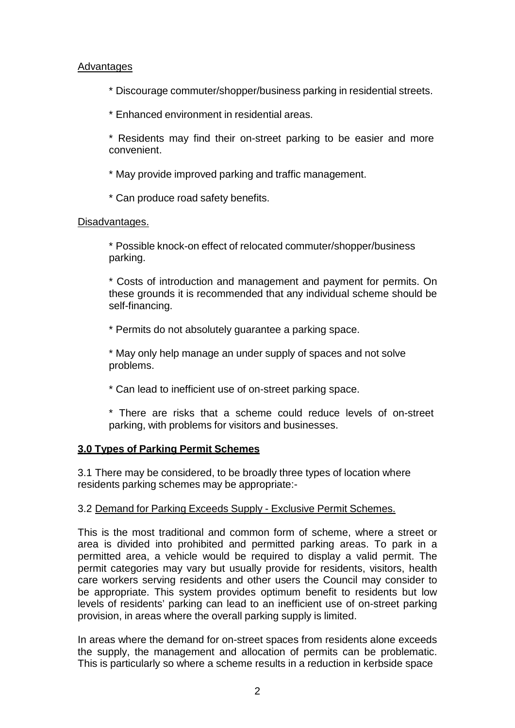## Advantages

- \* Discourage commuter/shopper/business parking in residential streets.
- \* Enhanced environment in residential areas.
- \* Residents may find their on-street parking to be easier and more convenient.
- \* May provide improved parking and traffic management.
- \* Can produce road safety benefits.

## Disadvantages.

\* Possible knock-on effect of relocated commuter/shopper/business parking.

\* Costs of introduction and management and payment for permits. On these grounds it is recommended that any individual scheme should be self-financing.

\* Permits do not absolutely guarantee a parking space.

\* May only help manage an under supply of spaces and not solve problems.

\* Can lead to inefficient use of on-street parking space.

\* There are risks that a scheme could reduce levels of on-street parking, with problems for visitors and businesses.

## **3.0 Types of Parking Permit Schemes**

3.1 There may be considered, to be broadly three types of location where residents parking schemes may be appropriate:-

## 3.2 Demand for Parking Exceeds Supply - Exclusive Permit Schemes.

This is the most traditional and common form of scheme, where a street or area is divided into prohibited and permitted parking areas. To park in a permitted area, a vehicle would be required to display a valid permit. The permit categories may vary but usually provide for residents, visitors, health care workers serving residents and other users the Council may consider to be appropriate. This system provides optimum benefit to residents but low levels of residents' parking can lead to an inefficient use of on-street parking provision, in areas where the overall parking supply is limited.

In areas where the demand for on-street spaces from residents alone exceeds the supply, the management and allocation of permits can be problematic. This is particularly so where a scheme results in a reduction in kerbside space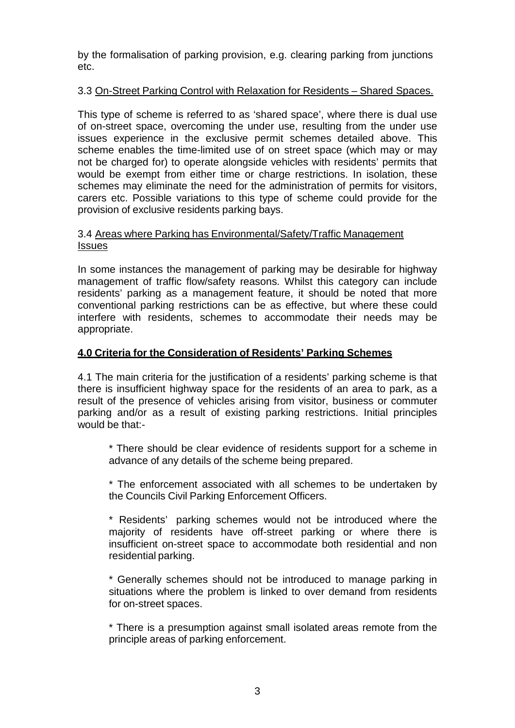by the formalisation of parking provision, e.g. clearing parking from junctions etc.

## 3.3 On-Street Parking Control with Relaxation for Residents – Shared Spaces.

This type of scheme is referred to as 'shared space', where there is dual use of on-street space, overcoming the under use, resulting from the under use issues experience in the exclusive permit schemes detailed above. This scheme enables the time-limited use of on street space (which may or may not be charged for) to operate alongside vehicles with residents' permits that would be exempt from either time or charge restrictions. In isolation, these schemes may eliminate the need for the administration of permits for visitors, carers etc. Possible variations to this type of scheme could provide for the provision of exclusive residents parking bays.

## 3.4 Areas where Parking has Environmental/Safety/Traffic Management Issues

In some instances the management of parking may be desirable for highway management of traffic flow/safety reasons. Whilst this category can include residents' parking as a management feature, it should be noted that more conventional parking restrictions can be as effective, but where these could interfere with residents, schemes to accommodate their needs may be appropriate.

## **4.0 Criteria for the Consideration of Residents' Parking Schemes**

4.1 The main criteria for the justification of a residents' parking scheme is that there is insufficient highway space for the residents of an area to park, as a result of the presence of vehicles arising from visitor, business or commuter parking and/or as a result of existing parking restrictions. Initial principles would be that:-

\* There should be clear evidence of residents support for a scheme in advance of any details of the scheme being prepared.

\* The enforcement associated with all schemes to be undertaken by the Councils Civil Parking Enforcement Officers.

\* Residents' parking schemes would not be introduced where the majority of residents have off-street parking or where there is insufficient on-street space to accommodate both residential and non residential parking.

\* Generally schemes should not be introduced to manage parking in situations where the problem is linked to over demand from residents for on-street spaces.

\* There is a presumption against small isolated areas remote from the principle areas of parking enforcement.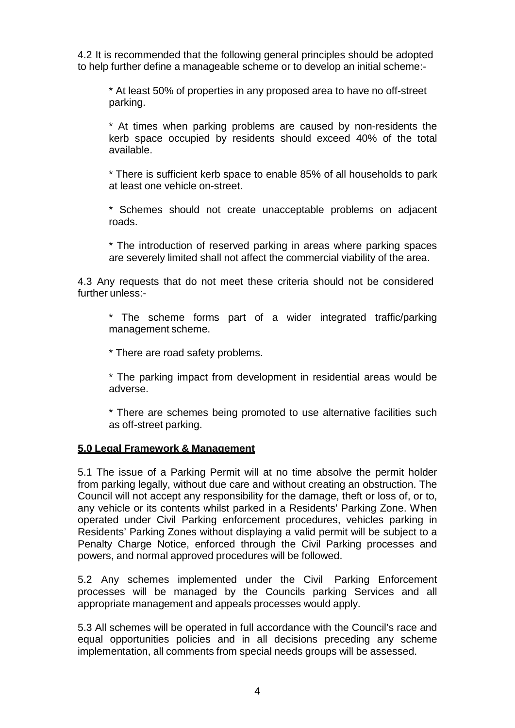4.2 It is recommended that the following general principles should be adopted to help further define a manageable scheme or to develop an initial scheme:-

\* At least 50% of properties in any proposed area to have no off-street parking.

\* At times when parking problems are caused by non-residents the kerb space occupied by residents should exceed 40% of the total available.

\* There is sufficient kerb space to enable 85% of all households to park at least one vehicle on-street.

\* Schemes should not create unacceptable problems on adjacent roads.

\* The introduction of reserved parking in areas where parking spaces are severely limited shall not affect the commercial viability of the area.

4.3 Any requests that do not meet these criteria should not be considered further unless:-

\* The scheme forms part of a wider integrated traffic/parking management scheme.

\* There are road safety problems.

\* The parking impact from development in residential areas would be adverse.

\* There are schemes being promoted to use alternative facilities such as off-street parking.

## **5.0 Legal Framework & Management**

5.1 The issue of a Parking Permit will at no time absolve the permit holder from parking legally, without due care and without creating an obstruction. The Council will not accept any responsibility for the damage, theft or loss of, or to, any vehicle or its contents whilst parked in a Residents' Parking Zone. When operated under Civil Parking enforcement procedures, vehicles parking in Residents' Parking Zones without displaying a valid permit will be subject to a Penalty Charge Notice, enforced through the Civil Parking processes and powers, and normal approved procedures will be followed.

5.2 Any schemes implemented under the Civil Parking Enforcement processes will be managed by the Councils parking Services and all appropriate management and appeals processes would apply.

5.3 All schemes will be operated in full accordance with the Council's race and equal opportunities policies and in all decisions preceding any scheme implementation, all comments from special needs groups will be assessed.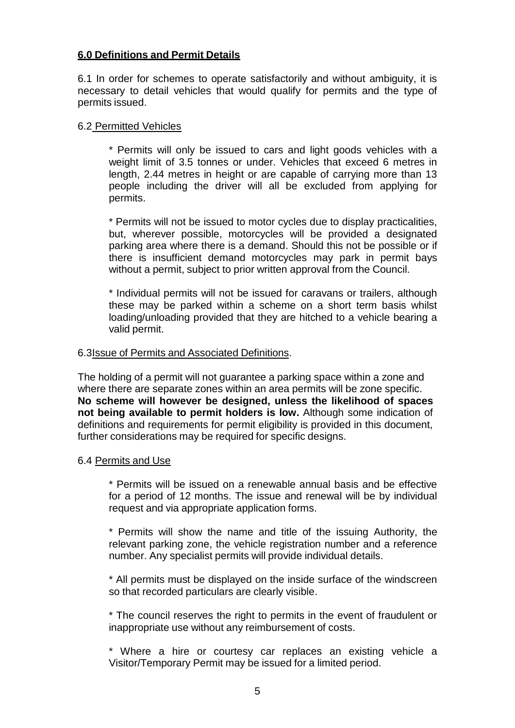## **6.0 Definitions and Permit Details**

6.1 In order for schemes to operate satisfactorily and without ambiguity, it is necessary to detail vehicles that would qualify for permits and the type of permits issued.

### 6.2 Permitted Vehicles

\* Permits will only be issued to cars and light goods vehicles with a weight limit of 3.5 tonnes or under. Vehicles that exceed 6 metres in length, 2.44 metres in height or are capable of carrying more than 13 people including the driver will all be excluded from applying for permits.

\* Permits will not be issued to motor cycles due to display practicalities, but, wherever possible, motorcycles will be provided a designated parking area where there is a demand. Should this not be possible or if there is insufficient demand motorcycles may park in permit bays without a permit, subject to prior written approval from the Council.

\* Individual permits will not be issued for caravans or trailers, although these may be parked within a scheme on a short term basis whilst loading/unloading provided that they are hitched to a vehicle bearing a valid permit.

#### 6.3 Issue of Permits and Associated Definitions.

The holding of a permit will not guarantee a parking space within a zone and where there are separate zones within an area permits will be zone specific. **No scheme will however be designed, unless the likelihood of spaces not being available to permit holders is low.** Although some indication of definitions and requirements for permit eligibility is provided in this document, further considerations may be required for specific designs.

## 6.4 Permits and Use

\* Permits will be issued on a renewable annual basis and be effective for a period of 12 months. The issue and renewal will be by individual request and via appropriate application forms.

\* Permits will show the name and title of the issuing Authority, the relevant parking zone, the vehicle registration number and a reference number. Any specialist permits will provide individual details.

\* All permits must be displayed on the inside surface of the windscreen so that recorded particulars are clearly visible.

\* The council reserves the right to permits in the event of fraudulent or inappropriate use without any reimbursement of costs.

\* Where a hire or courtesy car replaces an existing vehicle a Visitor/Temporary Permit may be issued for a limited period.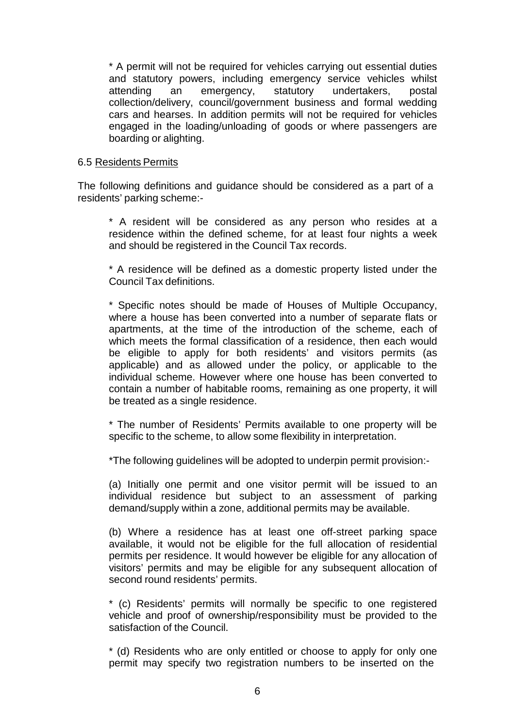\* A permit will not be required for vehicles carrying out essential duties and statutory powers, including emergency service vehicles whilst attending an emergency, statutory undertakers, postal collection/delivery, council/government business and formal wedding cars and hearses. In addition permits will not be required for vehicles engaged in the loading/unloading of goods or where passengers are boarding or alighting.

#### 6.5 Residents Permits

The following definitions and guidance should be considered as a part of a residents' parking scheme:-

\* A resident will be considered as any person who resides at a residence within the defined scheme, for at least four nights a week and should be registered in the Council Tax records.

\* A residence will be defined as a domestic property listed under the Council Tax definitions.

\* Specific notes should be made of Houses of Multiple Occupancy, where a house has been converted into a number of separate flats or apartments, at the time of the introduction of the scheme, each of which meets the formal classification of a residence, then each would be eligible to apply for both residents' and visitors permits (as applicable) and as allowed under the policy, or applicable to the individual scheme. However where one house has been converted to contain a number of habitable rooms, remaining as one property, it will be treated as a single residence.

\* The number of Residents' Permits available to one property will be specific to the scheme, to allow some flexibility in interpretation.

\*The following guidelines will be adopted to underpin permit provision:-

(a) Initially one permit and one visitor permit will be issued to an individual residence but subject to an assessment of parking demand/supply within a zone, additional permits may be available.

(b) Where a residence has at least one off-street parking space available, it would not be eligible for the full allocation of residential permits per residence. It would however be eligible for any allocation of visitors' permits and may be eligible for any subsequent allocation of second round residents' permits.

\* (c) Residents' permits will normally be specific to one registered vehicle and proof of ownership/responsibility must be provided to the satisfaction of the Council.

\* (d) Residents who are only entitled or choose to apply for only one permit may specify two registration numbers to be inserted on the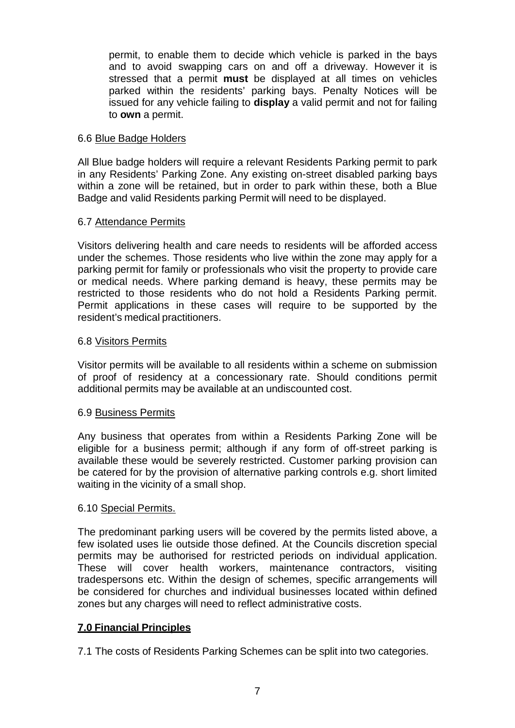permit, to enable them to decide which vehicle is parked in the bays and to avoid swapping cars on and off a driveway. However it is stressed that a permit **must** be displayed at all times on vehicles parked within the residents' parking bays. Penalty Notices will be issued for any vehicle failing to **display** a valid permit and not for failing to **own** a permit.

### 6.6 Blue Badge Holders

All Blue badge holders will require a relevant Residents Parking permit to park in any Residents' Parking Zone. Any existing on-street disabled parking bays within a zone will be retained, but in order to park within these, both a Blue Badge and valid Residents parking Permit will need to be displayed.

## 6.7 Attendance Permits

Visitors delivering health and care needs to residents will be afforded access under the schemes. Those residents who live within the zone may apply for a parking permit for family or professionals who visit the property to provide care or medical needs. Where parking demand is heavy, these permits may be restricted to those residents who do not hold a Residents Parking permit. Permit applications in these cases will require to be supported by the resident's medical practitioners.

## 6.8 Visitors Permits

Visitor permits will be available to all residents within a scheme on submission of proof of residency at a concessionary rate. Should conditions permit additional permits may be available at an undiscounted cost.

## 6.9 Business Permits

Any business that operates from within a Residents Parking Zone will be eligible for a business permit; although if any form of off-street parking is available these would be severely restricted. Customer parking provision can be catered for by the provision of alternative parking controls e.g. short limited waiting in the vicinity of a small shop.

## 6.10 Special Permits.

The predominant parking users will be covered by the permits listed above, a few isolated uses lie outside those defined. At the Councils discretion special permits may be authorised for restricted periods on individual application. These will cover health workers, maintenance contractors, visiting tradespersons etc. Within the design of schemes, specific arrangements will be considered for churches and individual businesses located within defined zones but any charges will need to reflect administrative costs.

## **7.0 Financial Principles**

7.1 The costs of Residents Parking Schemes can be split into two categories.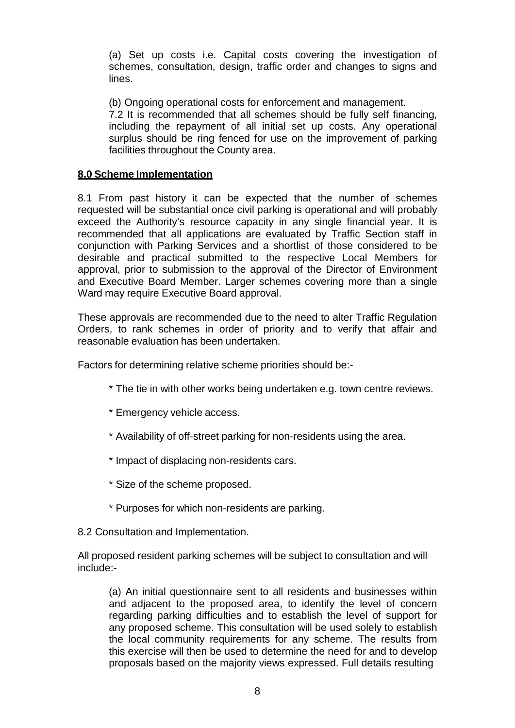(a) Set up costs i.e. Capital costs covering the investigation of schemes, consultation, design, traffic order and changes to signs and lines.

(b) Ongoing operational costs for enforcement and management.

7.2 It is recommended that all schemes should be fully self financing, including the repayment of all initial set up costs. Any operational surplus should be ring fenced for use on the improvement of parking facilities throughout the County area.

## **8.0 Scheme Implementation**

8.1 From past history it can be expected that the number of schemes requested will be substantial once civil parking is operational and will probably exceed the Authority's resource capacity in any single financial year. It is recommended that all applications are evaluated by Traffic Section staff in conjunction with Parking Services and a shortlist of those considered to be desirable and practical submitted to the respective Local Members for approval, prior to submission to the approval of the Director of Environment and Executive Board Member. Larger schemes covering more than a single Ward may require Executive Board approval.

These approvals are recommended due to the need to alter Traffic Regulation Orders, to rank schemes in order of priority and to verify that affair and reasonable evaluation has been undertaken.

Factors for determining relative scheme priorities should be:-

- \* The tie in with other works being undertaken e.g. town centre reviews.
- \* Emergency vehicle access.
- \* Availability of off-street parking for non-residents using the area.
- \* Impact of displacing non-residents cars.
- \* Size of the scheme proposed.
- \* Purposes for which non-residents are parking.

## 8.2 Consultation and Implementation.

All proposed resident parking schemes will be subject to consultation and will include:-

(a) An initial questionnaire sent to all residents and businesses within and adjacent to the proposed area, to identify the level of concern regarding parking difficulties and to establish the level of support for any proposed scheme. This consultation will be used solely to establish the local community requirements for any scheme. The results from this exercise will then be used to determine the need for and to develop proposals based on the majority views expressed. Full details resulting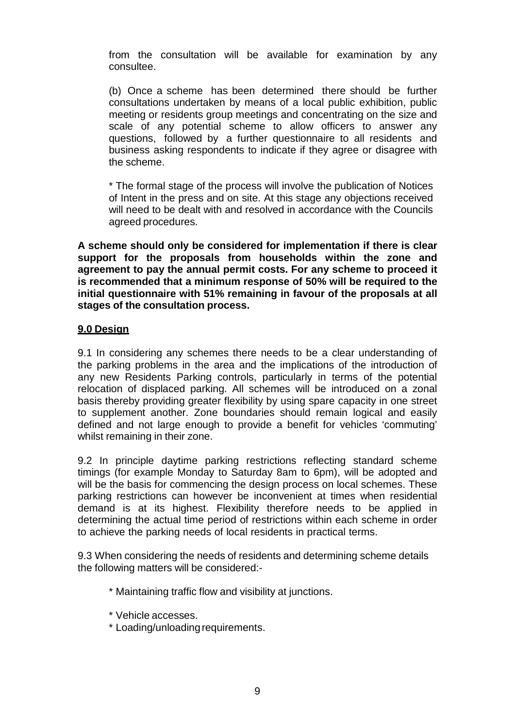from the consultation will be available for examination by any consultee.

(b) Once a scheme has been determined there should be further consultations undertaken by means of a local public exhibition, public meeting or residents group meetings and concentrating on the size and scale of any potential scheme to allow officers to answer any questions, followed by a further questionnaire to all residents and business asking respondents to indicate if they agree or disagree with the scheme.

\* The formal stage of the process will involve the publication of Notices of Intent in the press and on site. At this stage any objections received will need to be dealt with and resolved in accordance with the Councils agreed procedures.

**A scheme should only be considered for implementation if there is clear support for the proposals from households within the zone and agreement to pay the annual permit costs. For any scheme to proceed it is recommended that a minimum response of 50% will be required to the initial questionnaire with 51% remaining in favour of the proposals at all stages of the consultation process.**

## **9.0 Design**

9.1 In considering any schemes there needs to be a clear understanding of the parking problems in the area and the implications of the introduction of any new Residents Parking controls, particularly in terms of the potential relocation of displaced parking. All schemes will be introduced on a zonal basis thereby providing greater flexibility by using spare capacity in one street to supplement another. Zone boundaries should remain logical and easily defined and not large enough to provide a benefit for vehicles 'commuting' whilst remaining in their zone.

9.2 In principle daytime parking restrictions reflecting standard scheme timings (for example Monday to Saturday 8am to 6pm), will be adopted and will be the basis for commencing the design process on local schemes. These parking restrictions can however be inconvenient at times when residential demand is at its highest. Flexibility therefore needs to be applied in determining the actual time period of restrictions within each scheme in order to achieve the parking needs of local residents in practical terms.

9.3 When considering the needs of residents and determining scheme details the following matters will be considered:-

- \* Maintaining traffic flow and visibility at junctions.
- \* Vehicle accesses.
- \* Loading/unloading requirements.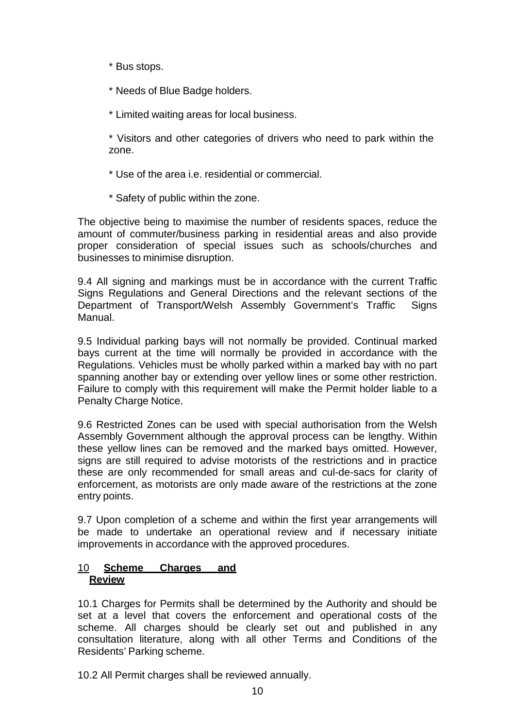- \* Bus stops.
- \* Needs of Blue Badge holders.
- \* Limited waiting areas for local business.

\* Visitors and other categories of drivers who need to park within the zone.

- \* Use of the area i.e. residential or commercial.
- \* Safety of public within the zone.

The objective being to maximise the number of residents spaces, reduce the amount of commuter/business parking in residential areas and also provide proper consideration of special issues such as schools/churches and businesses to minimise disruption.

9.4 All signing and markings must be in accordance with the current Traffic Signs Regulations and General Directions and the relevant sections of the Department of Transport/Welsh Assembly Government's Traffic Signs Manual.

9.5 Individual parking bays will not normally be provided. Continual marked bays current at the time will normally be provided in accordance with the Regulations. Vehicles must be wholly parked within a marked bay with no part spanning another bay or extending over yellow lines or some other restriction. Failure to comply with this requirement will make the Permit holder liable to a Penalty Charge Notice.

9.6 Restricted Zones can be used with special authorisation from the Welsh Assembly Government although the approval process can be lengthy. Within these yellow lines can be removed and the marked bays omitted. However, signs are still required to advise motorists of the restrictions and in practice these are only recommended for small areas and cul-de-sacs for clarity of enforcement, as motorists are only made aware of the restrictions at the zone entry points.

9.7 Upon completion of a scheme and within the first year arrangements will be made to undertake an operational review and if necessary initiate improvements in accordance with the approved procedures.

# 10 **Scheme Charges and Review**

10.1 Charges for Permits shall be determined by the Authority and should be set at a level that covers the enforcement and operational costs of the scheme. All charges should be clearly set out and published in any consultation literature, along with all other Terms and Conditions of the Residents' Parking scheme.

10.2 All Permit charges shall be reviewed annually.